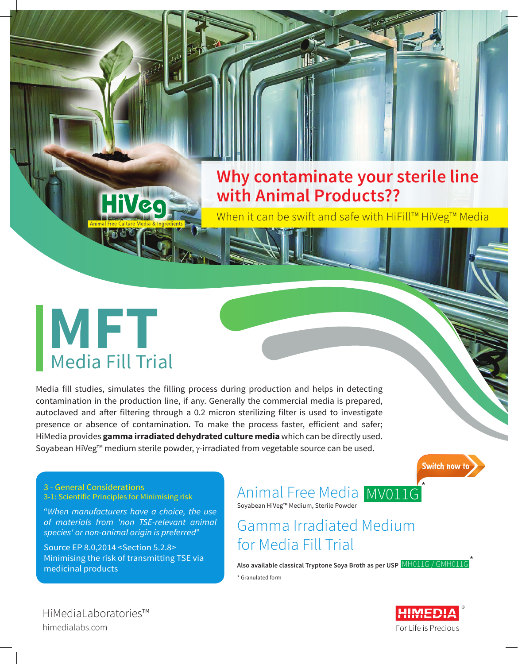## **Why contaminate your sterile line with Animal Products??**

When it can be swift and safe with HiFill™ HiVeg™ Media

# **MFT** Media Fill Trial

Media fill studies, simulates the filling process during production and helps in detecting contamination in the production line, if any. Generally the commercial media is prepared, autoclaved and after filtering through a 0.2 micron sterilizing filter is used to investigate presence or absence of contamination. To make the process faster, efficient and safer; HiMedia provides **gamma irradiated dehydrated culture media** which can be directly used. Soyabean HiVeg™ medium sterile powder, γ-irradiated from vegetable source can be used.

**Switch now t** 

3 - General Considerations 3-1: Scientific Principles for Minimising risk

"*When manufacturers have a choice, the use of materials from 'non TSE-relevant animal species' or non-animal origin is preferred*"

Source EP 8.0,2014 <Section 5.2.8> Minimising the risk of transmitting TSE via medicinal products

Animal Free Media MV011G Soyabean HiVeg™ Medium, Sterile Powder

## Gamma Irradiated Medium for Media Fill Trial

**Also available classical Tryptone Soya Broth as per USP** MH011G / GMH011G\* \* Granulated form

HiMediaLaboratories™ himedialabs.com